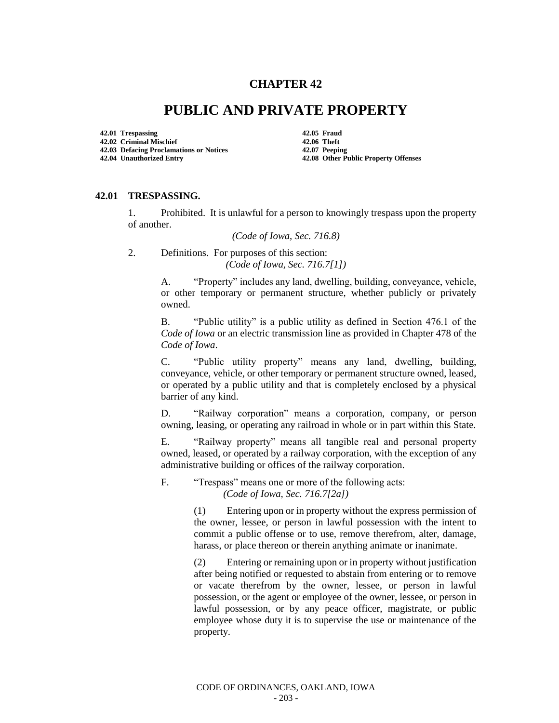## **CHAPTER 42**

## **PUBLIC AND PRIVATE PROPERTY**

**42.01 Trespassing 42.05 Fraud 42.02 Criminal Mischief 42.06 Theft 42.03 Defacing Proclamations or Notices 42.07 Peeping**

**42.04 Unauthorized Entry 42.08 Other Public Property Offenses**

## **42.01 TRESPASSING.**

1. Prohibited. It is unlawful for a person to knowingly trespass upon the property of another.

*(Code of Iowa, Sec. 716.8)*

2. Definitions. For purposes of this section: *(Code of Iowa, Sec. 716.7[1])*

> A. "Property" includes any land, dwelling, building, conveyance, vehicle, or other temporary or permanent structure, whether publicly or privately owned.

> B. "Public utility" is a public utility as defined in Section 476.1 of the *Code of Iowa* or an electric transmission line as provided in Chapter 478 of the *Code of Iowa*.

> C. "Public utility property" means any land, dwelling, building, conveyance, vehicle, or other temporary or permanent structure owned, leased, or operated by a public utility and that is completely enclosed by a physical barrier of any kind.

> D. "Railway corporation" means a corporation, company, or person owning, leasing, or operating any railroad in whole or in part within this State.

> E. "Railway property" means all tangible real and personal property owned, leased, or operated by a railway corporation, with the exception of any administrative building or offices of the railway corporation.

F. "Trespass" means one or more of the following acts: *(Code of Iowa, Sec. 716.7[2a])*

> (1) Entering upon or in property without the express permission of the owner, lessee, or person in lawful possession with the intent to commit a public offense or to use, remove therefrom, alter, damage, harass, or place thereon or therein anything animate or inanimate.

> (2) Entering or remaining upon or in property without justification after being notified or requested to abstain from entering or to remove or vacate therefrom by the owner, lessee, or person in lawful possession, or the agent or employee of the owner, lessee, or person in lawful possession, or by any peace officer, magistrate, or public employee whose duty it is to supervise the use or maintenance of the property.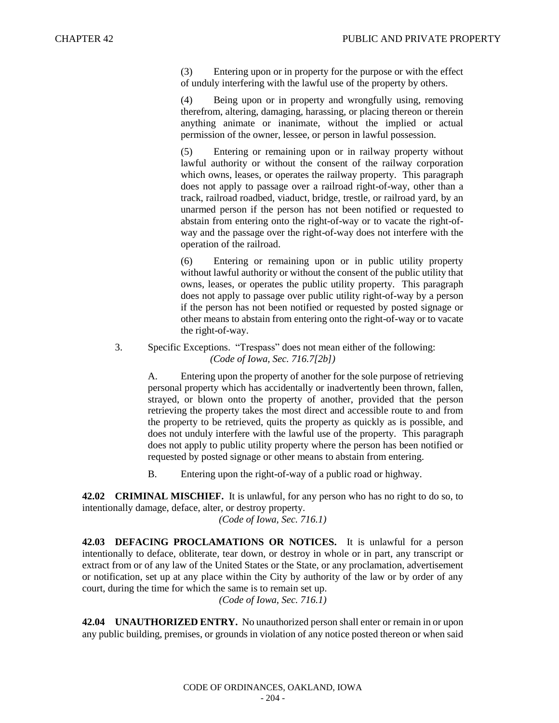(3) Entering upon or in property for the purpose or with the effect of unduly interfering with the lawful use of the property by others.

(4) Being upon or in property and wrongfully using, removing therefrom, altering, damaging, harassing, or placing thereon or therein anything animate or inanimate, without the implied or actual permission of the owner, lessee, or person in lawful possession.

(5) Entering or remaining upon or in railway property without lawful authority or without the consent of the railway corporation which owns, leases, or operates the railway property. This paragraph does not apply to passage over a railroad right-of-way, other than a track, railroad roadbed, viaduct, bridge, trestle, or railroad yard, by an unarmed person if the person has not been notified or requested to abstain from entering onto the right-of-way or to vacate the right-ofway and the passage over the right-of-way does not interfere with the operation of the railroad.

(6) Entering or remaining upon or in public utility property without lawful authority or without the consent of the public utility that owns, leases, or operates the public utility property. This paragraph does not apply to passage over public utility right-of-way by a person if the person has not been notified or requested by posted signage or other means to abstain from entering onto the right-of-way or to vacate the right-of-way.

3. Specific Exceptions. "Trespass" does not mean either of the following: *(Code of Iowa, Sec. 716.7[2b])*

> A. Entering upon the property of another for the sole purpose of retrieving personal property which has accidentally or inadvertently been thrown, fallen, strayed, or blown onto the property of another, provided that the person retrieving the property takes the most direct and accessible route to and from the property to be retrieved, quits the property as quickly as is possible, and does not unduly interfere with the lawful use of the property. This paragraph does not apply to public utility property where the person has been notified or requested by posted signage or other means to abstain from entering.

B. Entering upon the right-of-way of a public road or highway.

**42.02 CRIMINAL MISCHIEF.** It is unlawful, for any person who has no right to do so, to intentionally damage, deface, alter, or destroy property.

*(Code of Iowa, Sec. 716.1)* 

**42.03 DEFACING PROCLAMATIONS OR NOTICES.** It is unlawful for a person intentionally to deface, obliterate, tear down, or destroy in whole or in part, any transcript or extract from or of any law of the United States or the State, or any proclamation, advertisement or notification, set up at any place within the City by authority of the law or by order of any court, during the time for which the same is to remain set up. *(Code of Iowa, Sec. 716.1)*

**42.04 UNAUTHORIZED ENTRY.** No unauthorized person shall enter or remain in or upon any public building, premises, or grounds in violation of any notice posted thereon or when said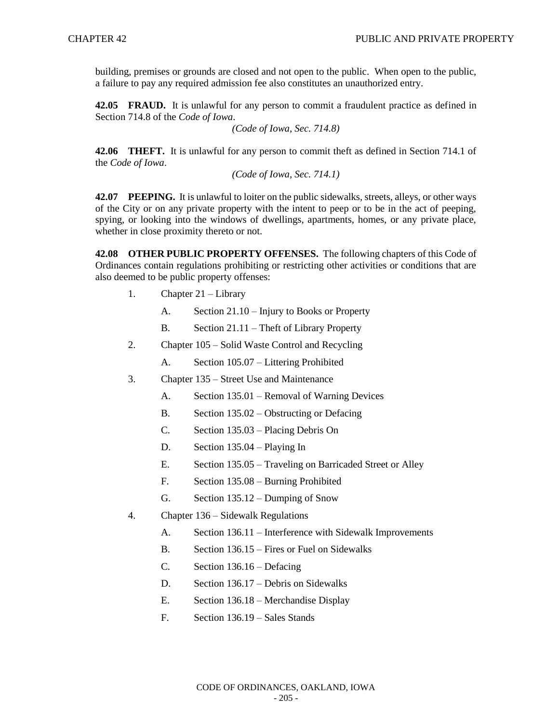building, premises or grounds are closed and not open to the public. When open to the public, a failure to pay any required admission fee also constitutes an unauthorized entry.

**42.05 FRAUD.** It is unlawful for any person to commit a fraudulent practice as defined in Section 714.8 of the *Code of Iowa*.

*(Code of Iowa, Sec. 714.8)* 

**42.06 THEFT.** It is unlawful for any person to commit theft as defined in Section 714.1 of the *Code of Iowa*.

*(Code of Iowa, Sec. 714.1)* 

**42.07 PEEPING.** It is unlawful to loiter on the public sidewalks, streets, alleys, or other ways of the City or on any private property with the intent to peep or to be in the act of peeping, spying, or looking into the windows of dwellings, apartments, homes, or any private place, whether in close proximity thereto or not.

**42.08 OTHER PUBLIC PROPERTY OFFENSES.** The following chapters of this Code of Ordinances contain regulations prohibiting or restricting other activities or conditions that are also deemed to be public property offenses:

- 1. Chapter 21 Library
	- A. Section 21.10 Injury to Books or Property
	- B. Section 21.11 Theft of Library Property
- 2. Chapter 105 Solid Waste Control and Recycling
	- A. Section 105.07 Littering Prohibited
- 3. Chapter 135 Street Use and Maintenance
	- A. Section 135.01 Removal of Warning Devices
	- B. Section 135.02 Obstructing or Defacing
	- C. Section 135.03 Placing Debris On
	- D. Section 135.04 Playing In
	- E. Section 135.05 Traveling on Barricaded Street or Alley
	- F. Section 135.08 Burning Prohibited
	- G. Section 135.12 Dumping of Snow
- 4. Chapter 136 Sidewalk Regulations
	- A. Section 136.11 Interference with Sidewalk Improvements
	- B. Section 136.15 Fires or Fuel on Sidewalks
	- C. Section 136.16 Defacing
	- D. Section 136.17 Debris on Sidewalks
	- E. Section 136.18 Merchandise Display
	- F. Section 136.19 Sales Stands